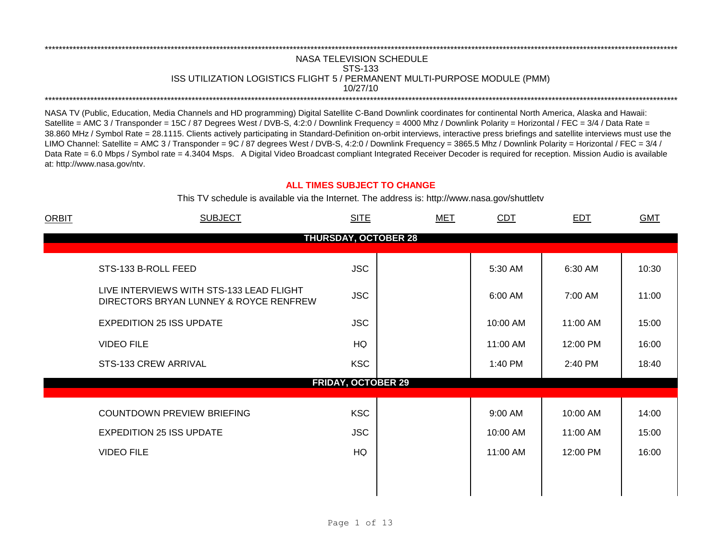## NASA TELEVISION SCHEDULE STS-133 ISS UTILIZATION LOGISTICS FLIGHT 5 / PERMANENT MULTI-PURPOSE MODULE (PMM) 10/27/10 \*\*\*\*\*\*\*\*\*\*\*\*\*\*\*\*\*\*\*\*\*\*\*\*\*\*\*\*\*\*\*\*\*\*\*\*\*\*\*\*\*\*\*\*\*\*\*\*\*\*\*\*\*\*\*\*\*\*\*\*\*\*\*\*\*\*\*\*\*\*\*\*\*\*\*\*\*\*\*\*\*\*\*\*\*\*\*\*\*\*\*\*\*\*\*\*\*\*\*\*\*\*\*\*\*\*\*\*\*\*\*\*\*\*\*\*\*\*\*\*\*\*\*\*\*\*\*\*\*\*\*\*\*\*\*\*\*\*\*\*\*\*\*\*\*\*\*\*\*\*\*\*\*\*\*\*\*\*\*\*\*\*\*\*\*\*\*\*\*\*\*\*\*\*\*\*\*\*\*\*\*\*\*\*\*

\*\*\*\*\*\*\*\*\*\*\*\*\*\*\*\*\*\*\*\*\*\*\*\*\*\*\*\*\*\*\*\*\*\*\*\*\*\*\*\*\*\*\*\*\*\*\*\*\*\*\*\*\*\*\*\*\*\*\*\*\*\*\*\*\*\*\*\*\*\*\*\*\*\*\*\*\*\*\*\*\*\*\*\*\*\*\*\*\*\*\*\*\*\*\*\*\*\*\*\*\*\*\*\*\*\*\*\*\*\*\*\*\*\*\*\*\*\*\*\*\*\*\*\*\*\*\*\*\*\*\*\*\*\*\*\*\*\*\*\*\*\*\*\*\*\*\*\*\*\*\*\*\*\*\*\*\*\*\*\*\*\*\*\*\*\*\*\*\*\*\*\*\*\*\*\*\*\*\*\*\*\*\*\*\*

NASA TV (Public, Education, Media Channels and HD programming) Digital Satellite C-Band Downlink coordinates for continental North America, Alaska and Hawaii: Satellite = AMC 3 / Transponder = 15C / 87 Degrees West / DVB-S, 4:2:0 / Downlink Frequency = 4000 Mhz / Downlink Polarity = Horizontal / FEC = 3/4 / Data Rate = 38.860 MHz / Symbol Rate = 28.1115. Clients actively participating in Standard-Definition on-orbit interviews, interactive press briefings and satellite interviews must use the LIMO Channel: Satellite = AMC 3 / Transponder = 9C / 87 degrees West / DVB-S, 4:2:0 / Downlink Frequency = 3865.5 Mhz / Downlink Polarity = Horizontal / FEC = 3/4 / Data Rate = 6.0 Mbps / Symbol rate = 4.3404 Msps. A Digital Video Broadcast compliant Integrated Receiver Decoder is required for reception. Mission Audio is available at: http://www.nasa.gov/ntv.

## **ALL TIMES SUBJECT TO CHANGE**

This TV schedule is available via the Internet. The address is: http://www.nasa.gov/shuttletv

| <b>ORBIT</b> | <b>SUBJECT</b>                                                                     | <b>SITE</b>                 | <b>MET</b> | <b>CDT</b> | <b>EDT</b> | <b>GMT</b> |
|--------------|------------------------------------------------------------------------------------|-----------------------------|------------|------------|------------|------------|
|              |                                                                                    | <b>THURSDAY, OCTOBER 28</b> |            |            |            |            |
|              | STS-133 B-ROLL FEED                                                                | <b>JSC</b>                  |            | 5:30 AM    | 6:30 AM    | 10:30      |
|              | LIVE INTERVIEWS WITH STS-133 LEAD FLIGHT<br>DIRECTORS BRYAN LUNNEY & ROYCE RENFREW | <b>JSC</b>                  |            | 6:00 AM    | 7:00 AM    | 11:00      |
|              | <b>EXPEDITION 25 ISS UPDATE</b>                                                    | <b>JSC</b>                  |            | 10:00 AM   | 11:00 AM   | 15:00      |
|              | <b>VIDEO FILE</b>                                                                  | HQ                          |            | 11:00 AM   | 12:00 PM   | 16:00      |
|              | STS-133 CREW ARRIVAL                                                               | <b>KSC</b>                  |            | 1:40 PM    | 2:40 PM    | 18:40      |
|              |                                                                                    | <b>FRIDAY, OCTOBER 29</b>   |            |            |            |            |
|              | COUNTDOWN PREVIEW BRIEFING                                                         | <b>KSC</b>                  |            | 9:00 AM    | 10:00 AM   | 14:00      |
|              | <b>EXPEDITION 25 ISS UPDATE</b>                                                    | <b>JSC</b>                  |            | 10:00 AM   | 11:00 AM   | 15:00      |
|              | <b>VIDEO FILE</b>                                                                  | <b>HQ</b>                   |            | 11:00 AM   | 12:00 PM   | 16:00      |
|              |                                                                                    |                             |            |            |            |            |
|              |                                                                                    |                             |            |            |            |            |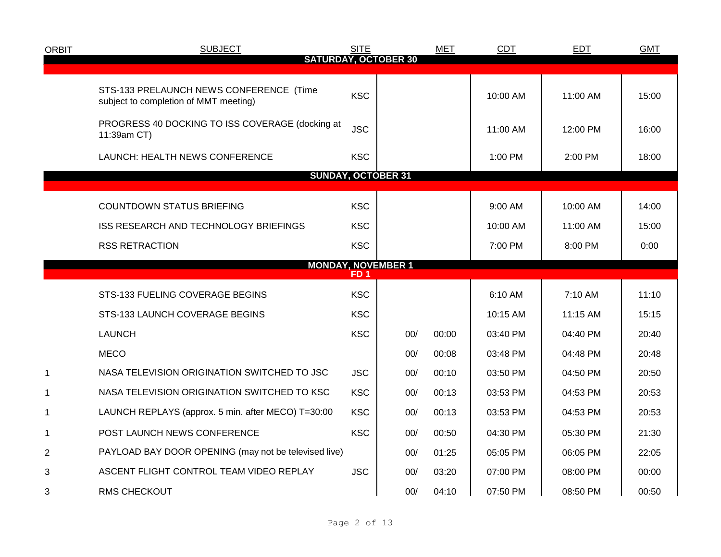| <b>ORBIT</b>   | <b>SUBJECT</b>                                                                   | <b>SITE</b>     |                             | <b>MET</b> | <b>CDT</b> | <b>EDT</b> | <b>GMT</b> |
|----------------|----------------------------------------------------------------------------------|-----------------|-----------------------------|------------|------------|------------|------------|
|                |                                                                                  |                 | <b>SATURDAY, OCTOBER 30</b> |            |            |            |            |
|                | STS-133 PRELAUNCH NEWS CONFERENCE (Time<br>subject to completion of MMT meeting) | <b>KSC</b>      |                             |            | 10:00 AM   | 11:00 AM   | 15:00      |
|                | PROGRESS 40 DOCKING TO ISS COVERAGE (docking at<br>11:39am CT)                   | <b>JSC</b>      |                             |            | 11:00 AM   | 12:00 PM   | 16:00      |
|                | LAUNCH: HEALTH NEWS CONFERENCE                                                   | <b>KSC</b>      |                             |            | 1:00 PM    | 2:00 PM    | 18:00      |
|                | <b>SUNDAY, OCTOBER 31</b>                                                        |                 |                             |            |            |            |            |
|                | <b>COUNTDOWN STATUS BRIEFING</b>                                                 | <b>KSC</b>      |                             |            | 9:00 AM    | 10:00 AM   | 14:00      |
|                | ISS RESEARCH AND TECHNOLOGY BRIEFINGS                                            | <b>KSC</b>      |                             |            | 10:00 AM   | 11:00 AM   | 15:00      |
|                | <b>RSS RETRACTION</b>                                                            | <b>KSC</b>      |                             |            | 7:00 PM    | 8:00 PM    | 0:00       |
|                | <b>MONDAY, NOVEMBER 1</b>                                                        | FD <sub>1</sub> |                             |            |            |            |            |
|                | STS-133 FUELING COVERAGE BEGINS                                                  | <b>KSC</b>      |                             |            | 6:10 AM    | 7:10 AM    | 11:10      |
|                | STS-133 LAUNCH COVERAGE BEGINS                                                   | <b>KSC</b>      |                             |            | 10:15 AM   | 11:15 AM   | 15:15      |
|                | <b>LAUNCH</b>                                                                    | <b>KSC</b>      | 00/                         | 00:00      | 03:40 PM   | 04:40 PM   | 20:40      |
|                | <b>MECO</b>                                                                      |                 | 00/                         | 00:08      | 03:48 PM   | 04:48 PM   | 20:48      |
| $\mathbf{1}$   | NASA TELEVISION ORIGINATION SWITCHED TO JSC                                      | <b>JSC</b>      | 00/                         | 00:10      | 03:50 PM   | 04:50 PM   | 20:50      |
| 1              | NASA TELEVISION ORIGINATION SWITCHED TO KSC                                      | <b>KSC</b>      | 00/                         | 00:13      | 03:53 PM   | 04:53 PM   | 20:53      |
| 1              | LAUNCH REPLAYS (approx. 5 min. after MECO) T=30:00                               | <b>KSC</b>      | 00/                         | 00:13      | 03:53 PM   | 04:53 PM   | 20:53      |
| 1              | POST LAUNCH NEWS CONFERENCE                                                      | <b>KSC</b>      | 00/                         | 00:50      | 04:30 PM   | 05:30 PM   | 21:30      |
| $\overline{2}$ | PAYLOAD BAY DOOR OPENING (may not be televised live)                             |                 | 00/                         | 01:25      | 05:05 PM   | 06:05 PM   | 22:05      |
| 3              | ASCENT FLIGHT CONTROL TEAM VIDEO REPLAY                                          | <b>JSC</b>      | 00/                         | 03:20      | 07:00 PM   | 08:00 PM   | 00:00      |
| 3              | RMS CHECKOUT                                                                     |                 | 00/                         | 04:10      | 07:50 PM   | 08:50 PM   | 00:50      |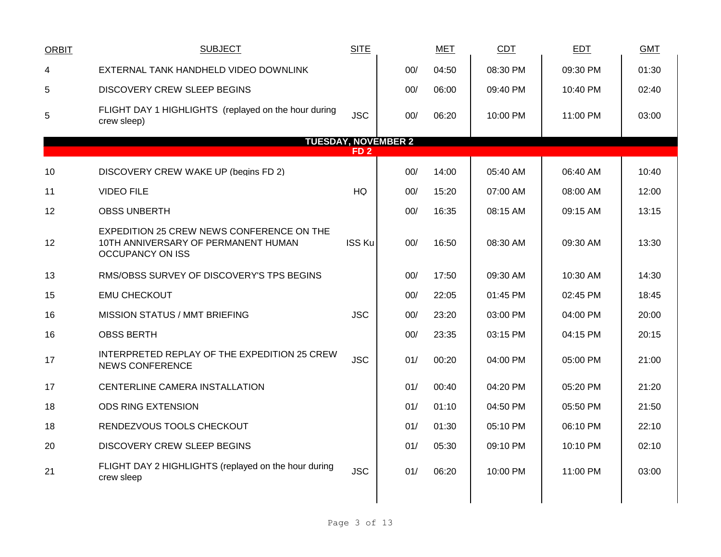| <b>ORBIT</b> | <b>SUBJECT</b>                                                                                              | <b>SITE</b>     |                            | <b>MET</b> | CDT      | <b>EDT</b> | <b>GMT</b> |
|--------------|-------------------------------------------------------------------------------------------------------------|-----------------|----------------------------|------------|----------|------------|------------|
| 4            | EXTERNAL TANK HANDHELD VIDEO DOWNLINK                                                                       |                 | 00/                        | 04:50      | 08:30 PM | 09:30 PM   | 01:30      |
| 5            | <b>DISCOVERY CREW SLEEP BEGINS</b>                                                                          |                 | 00/                        | 06:00      | 09:40 PM | 10:40 PM   | 02:40      |
| 5            | FLIGHT DAY 1 HIGHLIGHTS (replayed on the hour during<br>crew sleep)                                         | <b>JSC</b>      | 00/                        | 06:20      | 10:00 PM | 11:00 PM   | 03:00      |
|              |                                                                                                             |                 | <b>TUESDAY, NOVEMBER 2</b> |            |          |            |            |
|              |                                                                                                             | FD <sub>2</sub> |                            |            |          |            |            |
| 10           | DISCOVERY CREW WAKE UP (begins FD 2)                                                                        |                 | 00/                        | 14:00      | 05:40 AM | 06:40 AM   | 10:40      |
| 11           | <b>VIDEO FILE</b>                                                                                           | HQ              | 00/                        | 15:20      | 07:00 AM | 08:00 AM   | 12:00      |
| 12           | <b>OBSS UNBERTH</b>                                                                                         |                 | 00/                        | 16:35      | 08:15 AM | 09:15 AM   | 13:15      |
| 12           | EXPEDITION 25 CREW NEWS CONFERENCE ON THE<br>10TH ANNIVERSARY OF PERMANENT HUMAN<br><b>OCCUPANCY ON ISS</b> | <b>ISS Ku</b>   | 00/                        | 16:50      | 08:30 AM | 09:30 AM   | 13:30      |
| 13           | RMS/OBSS SURVEY OF DISCOVERY'S TPS BEGINS                                                                   |                 | 00/                        | 17:50      | 09:30 AM | 10:30 AM   | 14:30      |
| 15           | <b>EMU CHECKOUT</b>                                                                                         |                 | 00/                        | 22:05      | 01:45 PM | 02:45 PM   | 18:45      |
| 16           | <b>MISSION STATUS / MMT BRIEFING</b>                                                                        | <b>JSC</b>      | 00/                        | 23:20      | 03:00 PM | 04:00 PM   | 20:00      |
| 16           | <b>OBSS BERTH</b>                                                                                           |                 | 00/                        | 23:35      | 03:15 PM | 04:15 PM   | 20:15      |
| 17           | INTERPRETED REPLAY OF THE EXPEDITION 25 CREW<br>NEWS CONFERENCE                                             | <b>JSC</b>      | 01/                        | 00:20      | 04:00 PM | 05:00 PM   | 21:00      |
| 17           | CENTERLINE CAMERA INSTALLATION                                                                              |                 | 01/                        | 00:40      | 04:20 PM | 05:20 PM   | 21:20      |
| 18           | <b>ODS RING EXTENSION</b>                                                                                   |                 | 01/                        | 01:10      | 04:50 PM | 05:50 PM   | 21:50      |
| 18           | RENDEZVOUS TOOLS CHECKOUT                                                                                   |                 | 01/                        | 01:30      | 05:10 PM | 06:10 PM   | 22:10      |
| 20           | <b>DISCOVERY CREW SLEEP BEGINS</b>                                                                          |                 | 01/                        | 05:30      | 09:10 PM | 10:10 PM   | 02:10      |
| 21           | FLIGHT DAY 2 HIGHLIGHTS (replayed on the hour during<br>crew sleep                                          | <b>JSC</b>      | 01/                        | 06:20      | 10:00 PM | 11:00 PM   | 03:00      |
|              |                                                                                                             |                 |                            |            |          |            |            |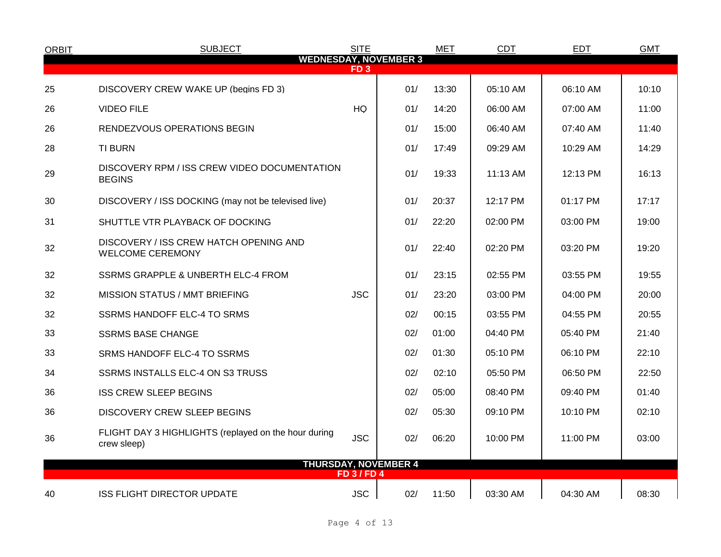| <b>ORBIT</b> | <b>SUBJECT</b>                                                      | <b>SITE</b>      |                              | <b>MET</b> | <b>CDT</b> | <b>EDT</b> | <b>GMT</b> |
|--------------|---------------------------------------------------------------------|------------------|------------------------------|------------|------------|------------|------------|
|              |                                                                     | FD <sub>3</sub>  | <b>WEDNESDAY, NOVEMBER 3</b> |            |            |            |            |
| 25           | DISCOVERY CREW WAKE UP (begins FD 3)                                |                  | 01/                          | 13:30      | 05:10 AM   | 06:10 AM   | 10:10      |
| 26           | <b>VIDEO FILE</b>                                                   | <b>HQ</b>        | 01/                          | 14:20      | 06:00 AM   | 07:00 AM   | 11:00      |
| 26           | RENDEZVOUS OPERATIONS BEGIN                                         |                  | 01/                          | 15:00      | 06:40 AM   | 07:40 AM   | 11:40      |
| 28           | <b>TI BURN</b>                                                      |                  | 01/                          | 17:49      | 09:29 AM   | 10:29 AM   | 14:29      |
| 29           | DISCOVERY RPM / ISS CREW VIDEO DOCUMENTATION<br><b>BEGINS</b>       |                  | 01/                          | 19:33      | $11:13$ AM | 12:13 PM   | 16:13      |
| 30           | DISCOVERY / ISS DOCKING (may not be televised live)                 |                  | 01/                          | 20:37      | 12:17 PM   | 01:17 PM   | 17:17      |
| 31           | SHUTTLE VTR PLAYBACK OF DOCKING                                     |                  | 01/                          | 22:20      | 02:00 PM   | 03:00 PM   | 19:00      |
| 32           | DISCOVERY / ISS CREW HATCH OPENING AND<br><b>WELCOME CEREMONY</b>   |                  | 01/                          | 22:40      | 02:20 PM   | 03:20 PM   | 19:20      |
| 32           | SSRMS GRAPPLE & UNBERTH ELC-4 FROM                                  |                  | 01/                          | 23:15      | 02:55 PM   | 03:55 PM   | 19:55      |
| 32           | <b>MISSION STATUS / MMT BRIEFING</b>                                | <b>JSC</b>       | 01/                          | 23:20      | 03:00 PM   | 04:00 PM   | 20:00      |
| 32           | <b>SSRMS HANDOFF ELC-4 TO SRMS</b>                                  |                  | 02/                          | 00:15      | 03:55 PM   | 04:55 PM   | 20:55      |
| 33           | <b>SSRMS BASE CHANGE</b>                                            |                  | 02/                          | 01:00      | 04:40 PM   | 05:40 PM   | 21:40      |
| 33           | SRMS HANDOFF ELC-4 TO SSRMS                                         |                  | 02/                          | 01:30      | 05:10 PM   | 06:10 PM   | 22:10      |
| 34           | SSRMS INSTALLS ELC-4 ON S3 TRUSS                                    |                  | 02/                          | 02:10      | 05:50 PM   | 06:50 PM   | 22:50      |
| 36           | <b>ISS CREW SLEEP BEGINS</b>                                        |                  | 02/                          | 05:00      | 08:40 PM   | 09:40 PM   | 01:40      |
| 36           | <b>DISCOVERY CREW SLEEP BEGINS</b>                                  |                  | 02/                          | 05:30      | 09:10 PM   | 10:10 PM   | 02:10      |
| 36           | FLIGHT DAY 3 HIGHLIGHTS (replayed on the hour during<br>crew sleep) | <b>JSC</b>       | 02/                          | 06:20      | 10:00 PM   | 11:00 PM   | 03:00      |
|              |                                                                     | <b>FD 3/FD 4</b> | <b>THURSDAY, NOVEMBER 4</b>  |            |            |            |            |
| 40           | ISS FLIGHT DIRECTOR UPDATE                                          | <b>JSC</b>       | 02/                          | 11:50      | 03:30 AM   | 04:30 AM   | 08:30      |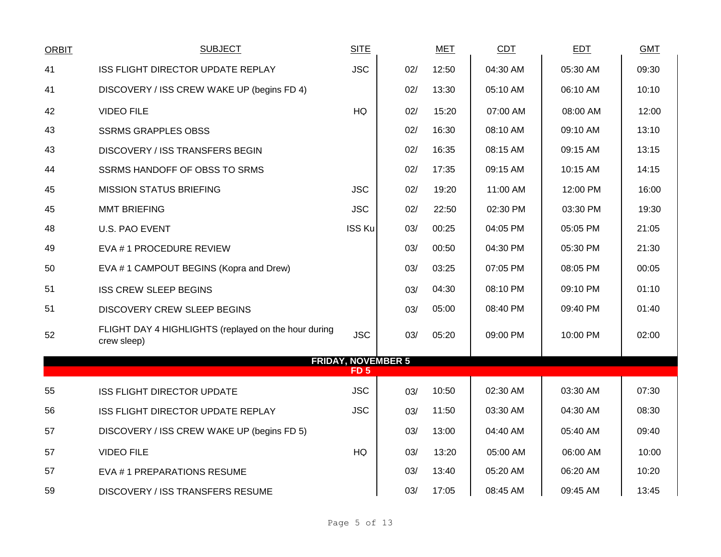| <b>ORBIT</b> | <b>SUBJECT</b>                                                      | <b>SITE</b>   |                           | <b>MET</b> | <b>CDT</b> | <b>EDT</b> | <b>GMT</b> |
|--------------|---------------------------------------------------------------------|---------------|---------------------------|------------|------------|------------|------------|
| 41           | ISS FLIGHT DIRECTOR UPDATE REPLAY                                   | <b>JSC</b>    | 02/                       | 12:50      | 04:30 AM   | 05:30 AM   | 09:30      |
| 41           | DISCOVERY / ISS CREW WAKE UP (begins FD 4)                          |               | 02/                       | 13:30      | 05:10 AM   | 06:10 AM   | 10:10      |
| 42           | <b>VIDEO FILE</b>                                                   | HQ            | 02/                       | 15:20      | 07:00 AM   | 08:00 AM   | 12:00      |
| 43           | <b>SSRMS GRAPPLES OBSS</b>                                          |               | 02/                       | 16:30      | 08:10 AM   | 09:10 AM   | 13:10      |
| 43           | <b>DISCOVERY / ISS TRANSFERS BEGIN</b>                              |               | 02/                       | 16:35      | 08:15 AM   | 09:15 AM   | 13:15      |
| 44           | SSRMS HANDOFF OF OBSS TO SRMS                                       |               | 02/                       | 17:35      | 09:15 AM   | 10:15 AM   | 14:15      |
| 45           | <b>MISSION STATUS BRIEFING</b>                                      | <b>JSC</b>    | 02/                       | 19:20      | 11:00 AM   | 12:00 PM   | 16:00      |
| 45           | <b>MMT BRIEFING</b>                                                 | <b>JSC</b>    | 02/                       | 22:50      | 02:30 PM   | 03:30 PM   | 19:30      |
| 48           | U.S. PAO EVENT                                                      | <b>ISS Ku</b> | 03/                       | 00:25      | 04:05 PM   | 05:05 PM   | 21:05      |
| 49           | EVA # 1 PROCEDURE REVIEW                                            |               | 03/                       | 00:50      | 04:30 PM   | 05:30 PM   | 21:30      |
| 50           | EVA #1 CAMPOUT BEGINS (Kopra and Drew)                              |               | 03/                       | 03:25      | 07:05 PM   | 08:05 PM   | 00:05      |
| 51           | <b>ISS CREW SLEEP BEGINS</b>                                        |               | 03/                       | 04:30      | 08:10 PM   | 09:10 PM   | 01:10      |
| 51           | <b>DISCOVERY CREW SLEEP BEGINS</b>                                  |               | 03/                       | 05:00      | 08:40 PM   | 09:40 PM   | 01:40      |
| 52           | FLIGHT DAY 4 HIGHLIGHTS (replayed on the hour during<br>crew sleep) | <b>JSC</b>    | 03/                       | 05:20      | 09:00 PM   | 10:00 PM   | 02:00      |
|              |                                                                     | FD 5          | <b>FRIDAY, NOVEMBER 5</b> |            |            |            |            |
| 55           |                                                                     | <b>JSC</b>    |                           | 10:50      | 02:30 AM   | 03:30 AM   | 07:30      |
|              | ISS FLIGHT DIRECTOR UPDATE                                          |               | 03/                       |            |            |            |            |
| 56           | ISS FLIGHT DIRECTOR UPDATE REPLAY                                   | <b>JSC</b>    | 03/                       | 11:50      | 03:30 AM   | 04:30 AM   | 08:30      |
| 57           | DISCOVERY / ISS CREW WAKE UP (begins FD 5)                          |               | 03/                       | 13:00      | 04:40 AM   | 05:40 AM   | 09:40      |
| 57           | <b>VIDEO FILE</b>                                                   | HQ            | 03/                       | 13:20      | 05:00 AM   | 06:00 AM   | 10:00      |
| 57           | EVA #1 PREPARATIONS RESUME                                          |               | 03/                       | 13:40      | 05:20 AM   | 06:20 AM   | 10:20      |
| 59           | <b>DISCOVERY / ISS TRANSFERS RESUME</b>                             |               | 03/                       | 17:05      | 08:45 AM   | 09:45 AM   | 13:45      |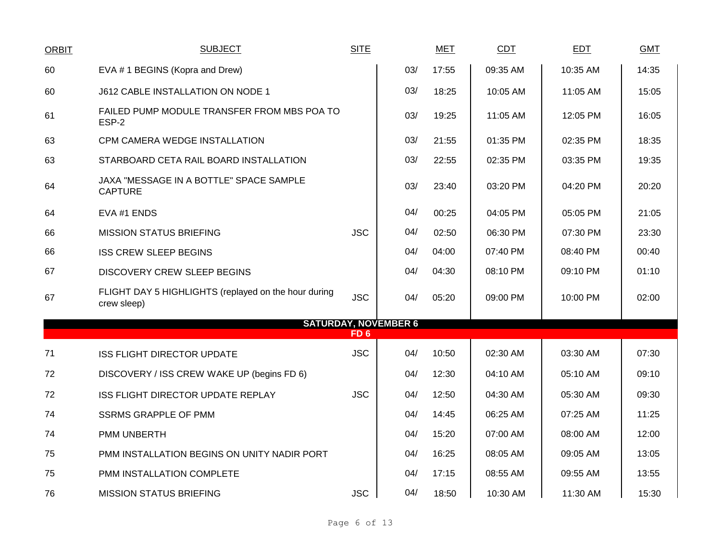| <b>ORBIT</b> | <b>SUBJECT</b>                                                      | <b>SITE</b> |                             | <b>MET</b> | CDT      | <b>EDT</b> | <b>GMT</b> |
|--------------|---------------------------------------------------------------------|-------------|-----------------------------|------------|----------|------------|------------|
| 60           | EVA #1 BEGINS (Kopra and Drew)                                      |             | 03/                         | 17:55      | 09:35 AM | 10:35 AM   | 14:35      |
| 60           | J612 CABLE INSTALLATION ON NODE 1                                   |             | 03/                         | 18:25      | 10:05 AM | 11:05 AM   | 15:05      |
| 61           | FAILED PUMP MODULE TRANSFER FROM MBS POA TO<br>ESP-2                |             | 03/                         | 19:25      | 11:05 AM | 12:05 PM   | 16:05      |
| 63           | CPM CAMERA WEDGE INSTALLATION                                       |             | 03/                         | 21:55      | 01:35 PM | 02:35 PM   | 18:35      |
| 63           | STARBOARD CETA RAIL BOARD INSTALLATION                              |             | 03/                         | 22:55      | 02:35 PM | 03:35 PM   | 19:35      |
| 64           | JAXA "MESSAGE IN A BOTTLE" SPACE SAMPLE<br><b>CAPTURE</b>           |             | 03/                         | 23:40      | 03:20 PM | 04:20 PM   | 20:20      |
| 64           | EVA #1 ENDS                                                         |             | 04/                         | 00:25      | 04:05 PM | 05:05 PM   | 21:05      |
| 66           | <b>MISSION STATUS BRIEFING</b>                                      | <b>JSC</b>  | 04/                         | 02:50      | 06:30 PM | 07:30 PM   | 23:30      |
| 66           | <b>ISS CREW SLEEP BEGINS</b>                                        |             | 04/                         | 04:00      | 07:40 PM | 08:40 PM   | 00:40      |
| 67           | <b>DISCOVERY CREW SLEEP BEGINS</b>                                  |             | 04/                         | 04:30      | 08:10 PM | 09:10 PM   | 01:10      |
| 67           | FLIGHT DAY 5 HIGHLIGHTS (replayed on the hour during<br>crew sleep) | <b>JSC</b>  | 04/                         | 05:20      | 09:00 PM | 10:00 PM   | 02:00      |
|              |                                                                     | FD 6        | <b>SATURDAY, NOVEMBER 6</b> |            |          |            |            |
| 71           | <b>ISS FLIGHT DIRECTOR UPDATE</b>                                   | <b>JSC</b>  | 04/                         | 10:50      | 02:30 AM | 03:30 AM   | 07:30      |
| 72           | DISCOVERY / ISS CREW WAKE UP (begins FD 6)                          |             | 04/                         | 12:30      | 04:10 AM | 05:10 AM   | 09:10      |
| 72           | ISS FLIGHT DIRECTOR UPDATE REPLAY                                   | <b>JSC</b>  | 04/                         | 12:50      | 04:30 AM | 05:30 AM   | 09:30      |
| 74           | <b>SSRMS GRAPPLE OF PMM</b>                                         |             | 04/                         | 14:45      | 06:25 AM | 07:25 AM   | 11:25      |
| 74           | PMM UNBERTH                                                         |             | 04/                         | 15:20      | 07:00 AM | 08:00 AM   | 12:00      |
| 75           | PMM INSTALLATION BEGINS ON UNITY NADIR PORT                         |             | 04/                         | 16:25      | 08:05 AM | 09:05 AM   | 13:05      |
| 75           | PMM INSTALLATION COMPLETE                                           |             | 04/                         | 17:15      | 08:55 AM | 09:55 AM   | 13:55      |
| 76           | <b>MISSION STATUS BRIEFING</b>                                      | <b>JSC</b>  | 04/                         | 18:50      | 10:30 AM | 11:30 AM   | 15:30      |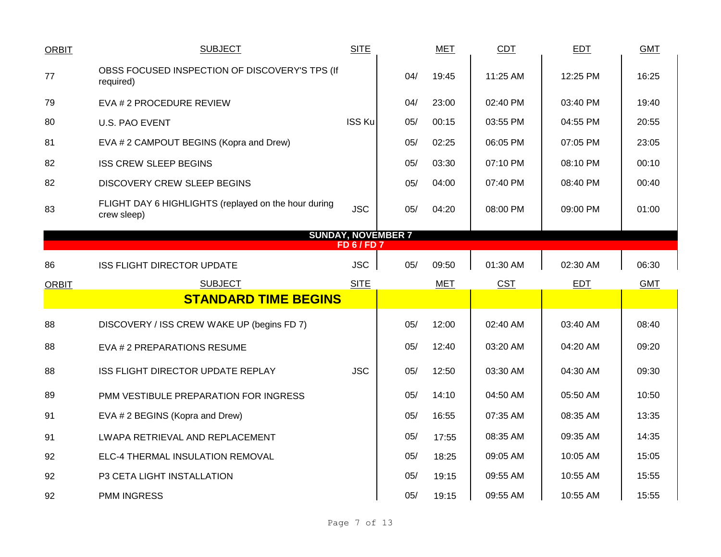| <b>ORBIT</b> | <b>SUBJECT</b>                                                      | <b>SITE</b>                                   |     | <b>MET</b> | <b>CDT</b> | <b>EDT</b> | <b>GMT</b> |
|--------------|---------------------------------------------------------------------|-----------------------------------------------|-----|------------|------------|------------|------------|
| 77           | OBSS FOCUSED INSPECTION OF DISCOVERY'S TPS (If<br>required)         |                                               | 04/ | 19:45      | 11:25 AM   | 12:25 PM   | 16:25      |
| 79           | EVA # 2 PROCEDURE REVIEW                                            |                                               | 04/ | 23:00      | 02:40 PM   | 03:40 PM   | 19:40      |
| 80           | <b>U.S. PAO EVENT</b>                                               | <b>ISS Ku</b>                                 | 05/ | 00:15      | 03:55 PM   | 04:55 PM   | 20:55      |
| 81           | EVA # 2 CAMPOUT BEGINS (Kopra and Drew)                             |                                               | 05/ | 02:25      | 06:05 PM   | 07:05 PM   | 23:05      |
| 82           | <b>ISS CREW SLEEP BEGINS</b>                                        |                                               | 05/ | 03:30      | 07:10 PM   | 08:10 PM   | 00:10      |
| 82           | DISCOVERY CREW SLEEP BEGINS                                         |                                               | 05/ | 04:00      | 07:40 PM   | 08:40 PM   | 00:40      |
| 83           | FLIGHT DAY 6 HIGHLIGHTS (replayed on the hour during<br>crew sleep) | <b>JSC</b>                                    | 05/ | 04:20      | 08:00 PM   | 09:00 PM   | 01:00      |
|              |                                                                     | <b>SUNDAY, NOVEMBER 7</b><br><b>FD 6/FD 7</b> |     |            |            |            |            |
|              |                                                                     |                                               |     |            |            |            |            |
| 86           | <b>ISS FLIGHT DIRECTOR UPDATE</b>                                   | <b>JSC</b>                                    | 05/ | 09:50      | 01:30 AM   | 02:30 AM   | 06:30      |
|              |                                                                     |                                               |     |            |            |            |            |
| <b>ORBIT</b> | <b>SUBJECT</b>                                                      | <b>SITE</b>                                   |     | <b>MET</b> | <b>CST</b> | <b>EDT</b> | <b>GMT</b> |
|              | <b>STANDARD TIME BEGINS</b>                                         |                                               |     |            |            |            |            |
| 88           | DISCOVERY / ISS CREW WAKE UP (begins FD 7)                          |                                               | 05/ | 12:00      | 02:40 AM   | 03:40 AM   | 08:40      |
| 88           | EVA # 2 PREPARATIONS RESUME                                         |                                               | 05/ | 12:40      | 03:20 AM   | 04:20 AM   | 09:20      |
| 88           | ISS FLIGHT DIRECTOR UPDATE REPLAY                                   | <b>JSC</b>                                    | 05/ | 12:50      | 03:30 AM   | 04:30 AM   | 09:30      |
| 89           | PMM VESTIBULE PREPARATION FOR INGRESS                               |                                               | 05/ | 14:10      | 04:50 AM   | 05:50 AM   | 10:50      |
| 91           | EVA # 2 BEGINS (Kopra and Drew)                                     |                                               | 05/ | 16:55      | 07:35 AM   | 08:35 AM   | 13:35      |
| 91           | LWAPA RETRIEVAL AND REPLACEMENT                                     |                                               | 05/ | 17:55      | 08:35 AM   | 09:35 AM   | 14:35      |
| 92           | ELC-4 THERMAL INSULATION REMOVAL                                    |                                               | 05/ | 18:25      | 09:05 AM   | 10:05 AM   | 15:05      |
| 92           | P3 CETA LIGHT INSTALLATION                                          |                                               | 05/ | 19:15      | 09:55 AM   | 10:55 AM   | 15:55      |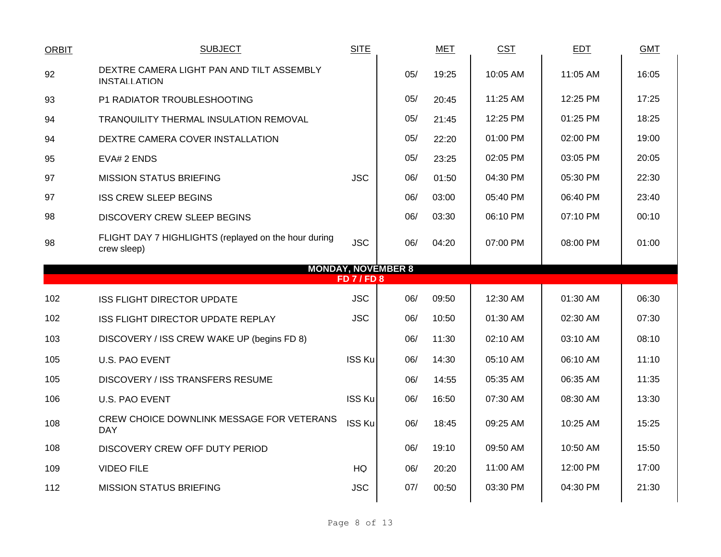| <b>ORBIT</b> | <b>SUBJECT</b>                                                      | <b>SITE</b>        |                           | <b>MET</b> | <b>CST</b> | EDT      | <b>GMT</b> |
|--------------|---------------------------------------------------------------------|--------------------|---------------------------|------------|------------|----------|------------|
| 92           | DEXTRE CAMERA LIGHT PAN AND TILT ASSEMBLY<br><b>INSTALLATION</b>    |                    | 05/                       | 19:25      | 10:05 AM   | 11:05 AM | 16:05      |
| 93           | P1 RADIATOR TROUBLESHOOTING                                         |                    | 05/                       | 20:45      | 11:25 AM   | 12:25 PM | 17:25      |
| 94           | TRANQUILITY THERMAL INSULATION REMOVAL                              |                    | 05/                       | 21:45      | 12:25 PM   | 01:25 PM | 18:25      |
| 94           | DEXTRE CAMERA COVER INSTALLATION                                    |                    | 05/                       | 22:20      | 01:00 PM   | 02:00 PM | 19:00      |
| 95           | EVA# 2 ENDS                                                         |                    | 05/                       | 23:25      | 02:05 PM   | 03:05 PM | 20:05      |
| 97           | <b>MISSION STATUS BRIEFING</b>                                      | <b>JSC</b>         | 06/                       | 01:50      | 04:30 PM   | 05:30 PM | 22:30      |
| 97           | <b>ISS CREW SLEEP BEGINS</b>                                        |                    | 06/                       | 03:00      | 05:40 PM   | 06:40 PM | 23:40      |
| 98           | <b>DISCOVERY CREW SLEEP BEGINS</b>                                  |                    | 06/                       | 03:30      | 06:10 PM   | 07:10 PM | 00:10      |
| 98           | FLIGHT DAY 7 HIGHLIGHTS (replayed on the hour during<br>crew sleep) | <b>JSC</b>         | 06/                       | 04:20      | 07:00 PM   | 08:00 PM | 01:00      |
|              |                                                                     |                    | <b>MONDAY, NOVEMBER 8</b> |            |            |          |            |
|              |                                                                     |                    |                           |            |            |          |            |
|              |                                                                     | <b>FD 7 / FD 8</b> |                           |            |            |          |            |
| 102          | <b>ISS FLIGHT DIRECTOR UPDATE</b>                                   | <b>JSC</b>         | 06/                       | 09:50      | 12:30 AM   | 01:30 AM | 06:30      |
| 102          | ISS FLIGHT DIRECTOR UPDATE REPLAY                                   | <b>JSC</b>         | 06/                       | 10:50      | 01:30 AM   | 02:30 AM | 07:30      |
| 103          | DISCOVERY / ISS CREW WAKE UP (begins FD 8)                          |                    | 06/                       | 11:30      | 02:10 AM   | 03:10 AM | 08:10      |
| 105          | <b>U.S. PAO EVENT</b>                                               | <b>ISS Ku</b>      | 06/                       | 14:30      | 05:10 AM   | 06:10 AM | 11:10      |
| 105          | <b>DISCOVERY / ISS TRANSFERS RESUME</b>                             |                    | 06/                       | 14:55      | 05:35 AM   | 06:35 AM | 11:35      |
| 106          | U.S. PAO EVENT                                                      | <b>ISS Ku</b>      | 06/                       | 16:50      | 07:30 AM   | 08:30 AM | 13:30      |
| 108          | CREW CHOICE DOWNLINK MESSAGE FOR VETERANS<br><b>DAY</b>             | ISS Ku             | 06/                       | 18:45      | 09:25 AM   | 10:25 AM | 15:25      |
| 108          | DISCOVERY CREW OFF DUTY PERIOD                                      |                    | 06/                       | 19:10      | 09:50 AM   | 10:50 AM | 15:50      |
| 109          | <b>VIDEO FILE</b>                                                   | HQ                 | 06/                       | 20:20      | 11:00 AM   | 12:00 PM | 17:00      |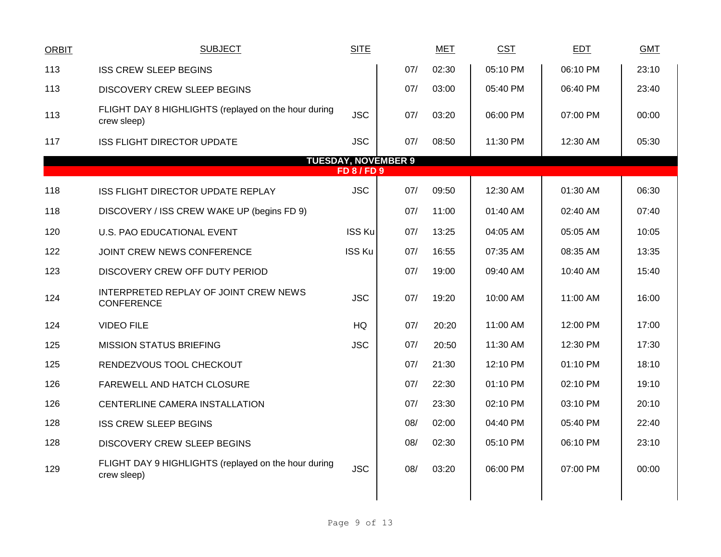| <b>ORBIT</b> | <b>SUBJECT</b>                                                      | <b>SITE</b>      |                            | <b>MET</b> | <b>CST</b> | <b>EDT</b> | <b>GMT</b> |
|--------------|---------------------------------------------------------------------|------------------|----------------------------|------------|------------|------------|------------|
| 113          | <b>ISS CREW SLEEP BEGINS</b>                                        |                  | 07/                        | 02:30      | 05:10 PM   | 06:10 PM   | 23:10      |
| 113          | <b>DISCOVERY CREW SLEEP BEGINS</b>                                  |                  | 07/                        | 03:00      | 05:40 PM   | 06:40 PM   | 23:40      |
| 113          | FLIGHT DAY 8 HIGHLIGHTS (replayed on the hour during<br>crew sleep) | <b>JSC</b>       | 07/                        | 03:20      | 06:00 PM   | 07:00 PM   | 00:00      |
| 117          | <b>ISS FLIGHT DIRECTOR UPDATE</b>                                   | <b>JSC</b>       | 07/                        | 08:50      | 11:30 PM   | 12:30 AM   | 05:30      |
|              |                                                                     | <b>FD 8/FD 9</b> | <b>TUESDAY, NOVEMBER 9</b> |            |            |            |            |
| 118          | <b>ISS FLIGHT DIRECTOR UPDATE REPLAY</b>                            | <b>JSC</b>       | 07/                        | 09:50      | 12:30 AM   | 01:30 AM   | 06:30      |
| 118          | DISCOVERY / ISS CREW WAKE UP (begins FD 9)                          |                  | 07/                        | 11:00      | 01:40 AM   | 02:40 AM   | 07:40      |
| 120          | U.S. PAO EDUCATIONAL EVENT                                          | <b>ISS Ku</b>    | 07/                        | 13:25      | 04:05 AM   | 05:05 AM   | 10:05      |
| 122          | JOINT CREW NEWS CONFERENCE                                          | <b>ISS Ku</b>    | 07/                        | 16:55      | 07:35 AM   | 08:35 AM   | 13:35      |
| 123          | DISCOVERY CREW OFF DUTY PERIOD                                      |                  | 07/                        | 19:00      | 09:40 AM   | 10:40 AM   | 15:40      |
| 124          | INTERPRETED REPLAY OF JOINT CREW NEWS<br><b>CONFERENCE</b>          | <b>JSC</b>       | 07/                        | 19:20      | 10:00 AM   | 11:00 AM   | 16:00      |
| 124          | <b>VIDEO FILE</b>                                                   | <b>HQ</b>        | 07/                        | 20:20      | 11:00 AM   | 12:00 PM   | 17:00      |
| 125          | <b>MISSION STATUS BRIEFING</b>                                      | <b>JSC</b>       | 07/                        | 20:50      | 11:30 AM   | 12:30 PM   | 17:30      |
| 125          | RENDEZVOUS TOOL CHECKOUT                                            |                  | 07/                        | 21:30      | 12:10 PM   | 01:10 PM   | 18:10      |
| 126          | FAREWELL AND HATCH CLOSURE                                          |                  | 07/                        | 22:30      | 01:10 PM   | 02:10 PM   | 19:10      |
| 126          | CENTERLINE CAMERA INSTALLATION                                      |                  | 07/                        | 23:30      | 02:10 PM   | 03:10 PM   | 20:10      |
| 128          | <b>ISS CREW SLEEP BEGINS</b>                                        |                  | 08/                        | 02:00      | 04:40 PM   | 05:40 PM   | 22:40      |
| 128          | <b>DISCOVERY CREW SLEEP BEGINS</b>                                  |                  | 08/                        | 02:30      | 05:10 PM   | 06:10 PM   | 23:10      |
| 129          | FLIGHT DAY 9 HIGHLIGHTS (replayed on the hour during<br>crew sleep) | <b>JSC</b>       | 08/                        | 03:20      | 06:00 PM   | 07:00 PM   | 00:00      |
|              |                                                                     |                  |                            |            |            |            |            |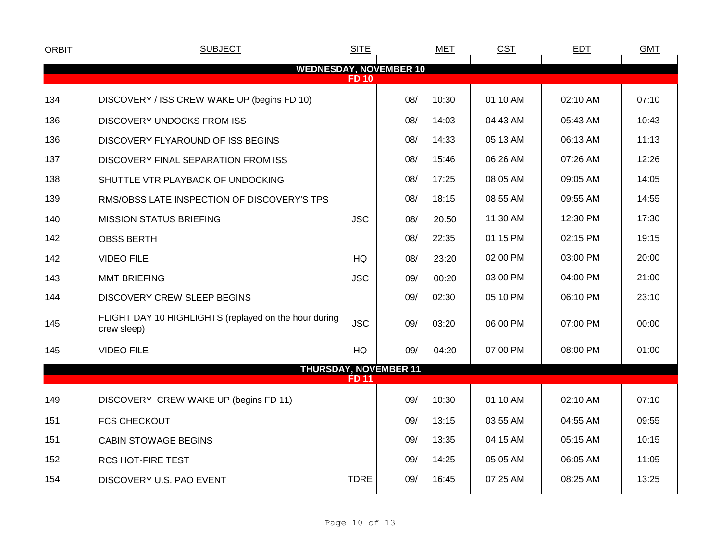| <b>ORBIT</b> | <b>SUBJECT</b>                                                       | <b>SITE</b>  |     | <b>MET</b> | <b>CST</b> | <b>EDT</b> | <b>GMT</b> |
|--------------|----------------------------------------------------------------------|--------------|-----|------------|------------|------------|------------|
|              | <b>WEDNESDAY, NOVEMBER 10</b>                                        |              |     |            |            |            |            |
|              |                                                                      | <b>FD 10</b> |     |            |            |            |            |
| 134          | DISCOVERY / ISS CREW WAKE UP (begins FD 10)                          |              | 08/ | 10:30      | 01:10 AM   | 02:10 AM   | 07:10      |
| 136          | <b>DISCOVERY UNDOCKS FROM ISS</b>                                    |              | 08/ | 14:03      | 04:43 AM   | 05:43 AM   | 10:43      |
| 136          | DISCOVERY FLYAROUND OF ISS BEGINS                                    |              | 08/ | 14:33      | 05:13 AM   | 06:13 AM   | 11:13      |
| 137          | DISCOVERY FINAL SEPARATION FROM ISS                                  |              | 08/ | 15:46      | 06:26 AM   | 07:26 AM   | 12:26      |
| 138          | SHUTTLE VTR PLAYBACK OF UNDOCKING                                    |              | 08/ | 17:25      | 08:05 AM   | 09:05 AM   | 14:05      |
| 139          | RMS/OBSS LATE INSPECTION OF DISCOVERY'S TPS                          |              | 08/ | 18:15      | 08:55 AM   | 09:55 AM   | 14:55      |
| 140          | <b>MISSION STATUS BRIEFING</b>                                       | <b>JSC</b>   | 08/ | 20:50      | 11:30 AM   | 12:30 PM   | 17:30      |
| 142          | <b>OBSS BERTH</b>                                                    |              | 08/ | 22:35      | 01:15 PM   | 02:15 PM   | 19:15      |
| 142          | <b>VIDEO FILE</b>                                                    | HQ           | 08/ | 23:20      | 02:00 PM   | 03:00 PM   | 20:00      |
| 143          | <b>MMT BRIEFING</b>                                                  | <b>JSC</b>   | 09/ | 00:20      | 03:00 PM   | 04:00 PM   | 21:00      |
| 144          | <b>DISCOVERY CREW SLEEP BEGINS</b>                                   |              | 09/ | 02:30      | 05:10 PM   | 06:10 PM   | 23:10      |
| 145          | FLIGHT DAY 10 HIGHLIGHTS (replayed on the hour during<br>crew sleep) | <b>JSC</b>   | 09/ | 03:20      | 06:00 PM   | 07:00 PM   | 00:00      |
| 145          | <b>VIDEO FILE</b>                                                    | HQ           | 09/ | 04:20      | 07:00 PM   | 08:00 PM   | 01:00      |
|              | <b>THURSDAY, NOVEMBER 11</b>                                         |              |     |            |            |            |            |
|              |                                                                      | <b>FD 11</b> |     |            |            |            |            |
| 149          | DISCOVERY CREW WAKE UP (begins FD 11)                                |              | 09/ | 10:30      | 01:10 AM   | 02:10 AM   | 07:10      |
| 151          | <b>FCS CHECKOUT</b>                                                  |              | 09/ | 13:15      | 03:55 AM   | 04:55 AM   | 09:55      |
| 151          | <b>CABIN STOWAGE BEGINS</b>                                          |              | 09/ | 13:35      | 04:15 AM   | 05:15 AM   | 10:15      |
| 152          | <b>RCS HOT-FIRE TEST</b>                                             |              | 09/ | 14:25      | 05:05 AM   | 06:05 AM   | 11:05      |
| 154          | DISCOVERY U.S. PAO EVENT                                             | <b>TDRE</b>  | 09/ | 16:45      | 07:25 AM   | 08:25 AM   | 13:25      |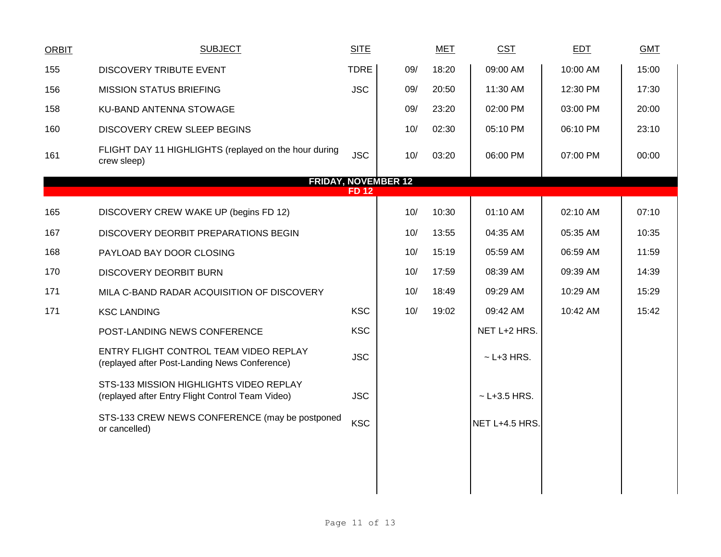| <b>ORBIT</b> | <b>SUBJECT</b>                                                                              | <b>SITE</b> |                            | <b>MET</b> | <b>CST</b>         | EDT      | <b>GMT</b> |
|--------------|---------------------------------------------------------------------------------------------|-------------|----------------------------|------------|--------------------|----------|------------|
| 155          | DISCOVERY TRIBUTE EVENT                                                                     | <b>TDRE</b> | 09/                        | 18:20      | 09:00 AM           | 10:00 AM | 15:00      |
| 156          | <b>MISSION STATUS BRIEFING</b>                                                              | <b>JSC</b>  | 09/                        | 20:50      | 11:30 AM           | 12:30 PM | 17:30      |
| 158          | KU-BAND ANTENNA STOWAGE                                                                     |             | 09/                        | 23:20      | 02:00 PM           | 03:00 PM | 20:00      |
| 160          | <b>DISCOVERY CREW SLEEP BEGINS</b>                                                          |             | 10/                        | 02:30      | 05:10 PM           | 06:10 PM | 23:10      |
| 161          | FLIGHT DAY 11 HIGHLIGHTS (replayed on the hour during<br>crew sleep)                        | <b>JSC</b>  | 10/                        | 03:20      | 06:00 PM           | 07:00 PM | 00:00      |
|              |                                                                                             |             | <b>FRIDAY, NOVEMBER 12</b> |            |                    |          |            |
|              |                                                                                             | <b>FD12</b> |                            |            |                    |          |            |
| 165          | DISCOVERY CREW WAKE UP (begins FD 12)                                                       |             | 10/                        | 10:30      | 01:10 AM           | 02:10 AM | 07:10      |
| 167          | DISCOVERY DEORBIT PREPARATIONS BEGIN                                                        |             | 10/                        | 13:55      | 04:35 AM           | 05:35 AM | 10:35      |
| 168          | PAYLOAD BAY DOOR CLOSING                                                                    |             | 10/                        | 15:19      | 05:59 AM           | 06:59 AM | 11:59      |
| 170          | DISCOVERY DEORBIT BURN                                                                      |             | 10/                        | 17:59      | 08:39 AM           | 09:39 AM | 14:39      |
| 171          | MILA C-BAND RADAR ACQUISITION OF DISCOVERY                                                  |             | 10/                        | 18:49      | 09:29 AM           | 10:29 AM | 15:29      |
| 171          | <b>KSC LANDING</b>                                                                          | <b>KSC</b>  | 10/                        | 19:02      | 09:42 AM           | 10:42 AM | 15:42      |
|              | POST-LANDING NEWS CONFERENCE                                                                | <b>KSC</b>  |                            |            | NET L+2 HRS.       |          |            |
|              | ENTRY FLIGHT CONTROL TEAM VIDEO REPLAY<br>(replayed after Post-Landing News Conference)     | <b>JSC</b>  |                            |            | $\sim$ L+3 HRS.    |          |            |
|              | STS-133 MISSION HIGHLIGHTS VIDEO REPLAY<br>(replayed after Entry Flight Control Team Video) | <b>JSC</b>  |                            |            | $~\sim$ L+3.5 HRS. |          |            |
|              | STS-133 CREW NEWS CONFERENCE (may be postponed<br>or cancelled)                             | <b>KSC</b>  |                            |            | NET L+4.5 HRS.     |          |            |
|              |                                                                                             |             |                            |            |                    |          |            |
|              |                                                                                             |             |                            |            |                    |          |            |
|              |                                                                                             |             |                            |            |                    |          |            |
|              |                                                                                             |             |                            |            |                    |          |            |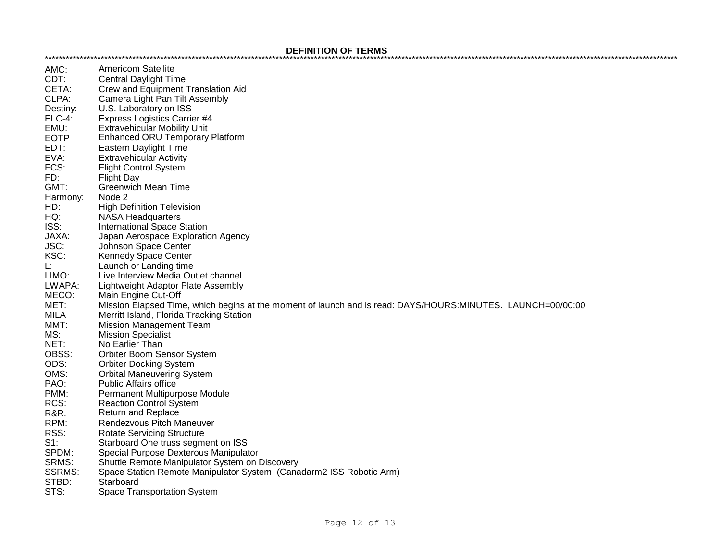## **DEFINITION OF TERMS**

| AMC:            | Americom Satellite                                                                                          |
|-----------------|-------------------------------------------------------------------------------------------------------------|
| CDT:            | <b>Central Daylight Time</b>                                                                                |
| CETA:           | Crew and Equipment Translation Aid                                                                          |
| CLPA:           | Camera Light Pan Tilt Assembly                                                                              |
| Destiny:        | U.S. Laboratory on ISS                                                                                      |
| <b>ELC-4:</b>   | <b>Express Logistics Carrier #4</b>                                                                         |
| EMU:            | <b>Extravehicular Mobility Unit</b>                                                                         |
| <b>EOTP</b>     | <b>Enhanced ORU Temporary Platform</b>                                                                      |
| EDT:            | Eastern Daylight Time                                                                                       |
| EVA:            | <b>Extravehicular Activity</b>                                                                              |
| FCS:            | <b>Flight Control System</b>                                                                                |
| FD:             | <b>Flight Day</b>                                                                                           |
| GMT:            | <b>Greenwich Mean Time</b>                                                                                  |
| Harmony:        | Node 2                                                                                                      |
| HD:             | <b>High Definition Television</b>                                                                           |
| HQ:             | <b>NASA Headquarters</b>                                                                                    |
| ISS:            | <b>International Space Station</b>                                                                          |
| JAXA:           | Japan Aerospace Exploration Agency                                                                          |
| JSC:            | Johnson Space Center                                                                                        |
| KSC:            | Kennedy Space Center                                                                                        |
| Ŀ.              | Launch or Landing time                                                                                      |
| LIMO:           | Live Interview Media Outlet channel                                                                         |
| LWAPA:          | Lightweight Adaptor Plate Assembly                                                                          |
| MECO:           | Main Engine Cut-Off                                                                                         |
| MET:            | Mission Elapsed Time, which begins at the moment of launch and is read: DAYS/HOURS:MINUTES. LAUNCH=00/00:00 |
| <b>MILA</b>     | Merritt Island, Florida Tracking Station                                                                    |
| MMT:            | <b>Mission Management Team</b>                                                                              |
| MS:             | <b>Mission Specialist</b>                                                                                   |
| NET:            | No Earlier Than                                                                                             |
| OBSS:           | Orbiter Boom Sensor System                                                                                  |
| ODS:            | <b>Orbiter Docking System</b>                                                                               |
| OMS:            | <b>Orbital Maneuvering System</b>                                                                           |
| PAO:            | <b>Public Affairs office</b>                                                                                |
| PMM:            | Permanent Multipurpose Module                                                                               |
| RCS:            | <b>Reaction Control System</b>                                                                              |
| <b>R&amp;R:</b> | <b>Return and Replace</b>                                                                                   |
| RPM:            | Rendezvous Pitch Maneuver                                                                                   |
| RSS:            | <b>Rotate Servicing Structure</b>                                                                           |
| $S1$ :          | Starboard One truss segment on ISS                                                                          |
| SPDM:           | Special Purpose Dexterous Manipulator                                                                       |
| SRMS:           | Shuttle Remote Manipulator System on Discovery                                                              |
| <b>SSRMS:</b>   | Space Station Remote Manipulator System (Canadarm2 ISS Robotic Arm)                                         |
| STBD:           | Starboard                                                                                                   |
| STS:            | <b>Space Transportation System</b>                                                                          |